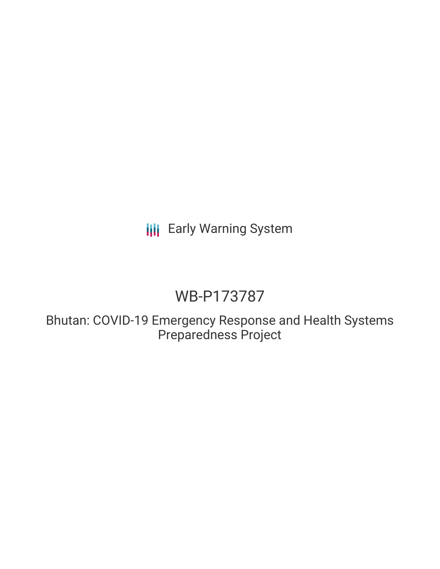# **III** Early Warning System

# WB-P173787

Bhutan: COVID-19 Emergency Response and Health Systems Preparedness Project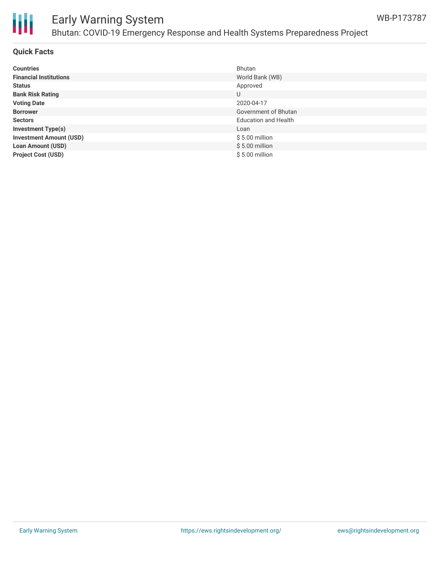

## Early Warning System Bhutan: COVID-19 Emergency Response and Health Systems Preparedness Project

### **Quick Facts**

| <b>Countries</b>               | Bhutan                      |
|--------------------------------|-----------------------------|
| <b>Financial Institutions</b>  | World Bank (WB)             |
| <b>Status</b>                  | Approved                    |
| <b>Bank Risk Rating</b>        | U                           |
| <b>Voting Date</b>             | 2020-04-17                  |
| <b>Borrower</b>                | Government of Bhutan        |
| <b>Sectors</b>                 | <b>Education and Health</b> |
| <b>Investment Type(s)</b>      | Loan                        |
| <b>Investment Amount (USD)</b> | $$5.00$ million             |
| <b>Loan Amount (USD)</b>       | $$5.00$ million             |
| <b>Project Cost (USD)</b>      | $$5.00$ million             |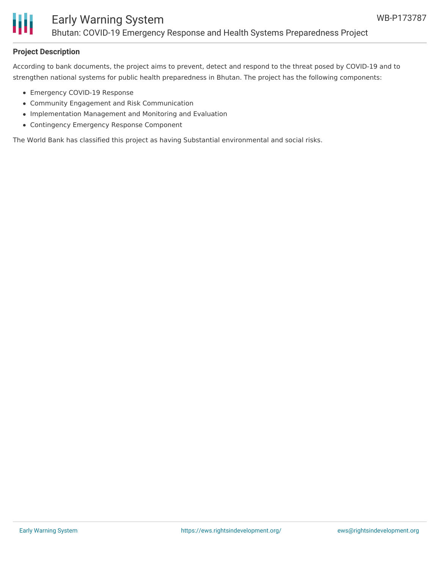

## **Project Description**

According to bank documents, the project aims to prevent, detect and respond to the threat posed by COVID-19 and to strengthen national systems for public health preparedness in Bhutan. The project has the following components:

- Emergency COVID-19 Response
- Community Engagement and Risk Communication
- Implementation Management and Monitoring and Evaluation
- Contingency Emergency Response Component

The World Bank has classified this project as having Substantial environmental and social risks.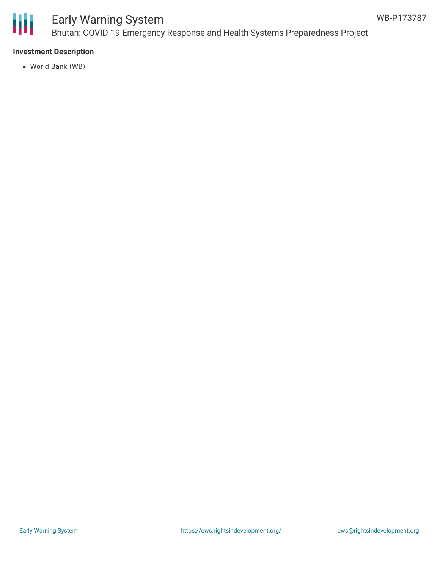

# Early Warning System Bhutan: COVID-19 Emergency Response and Health Systems Preparedness Project

## **Investment Description**

World Bank (WB)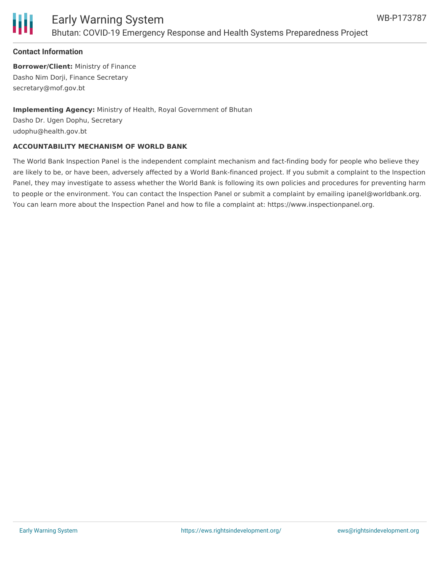

### **Contact Information**

**Borrower/Client:** Ministry of Finance Dasho Nim Dorji, Finance Secretary secretary@mof.gov.bt

**Implementing Agency:** Ministry of Health, Royal Government of Bhutan Dasho Dr. Ugen Dophu, Secretary udophu@health.gov.bt

#### **ACCOUNTABILITY MECHANISM OF WORLD BANK**

The World Bank Inspection Panel is the independent complaint mechanism and fact-finding body for people who believe they are likely to be, or have been, adversely affected by a World Bank-financed project. If you submit a complaint to the Inspection Panel, they may investigate to assess whether the World Bank is following its own policies and procedures for preventing harm to people or the environment. You can contact the Inspection Panel or submit a complaint by emailing ipanel@worldbank.org. You can learn more about the Inspection Panel and how to file a complaint at: https://www.inspectionpanel.org.